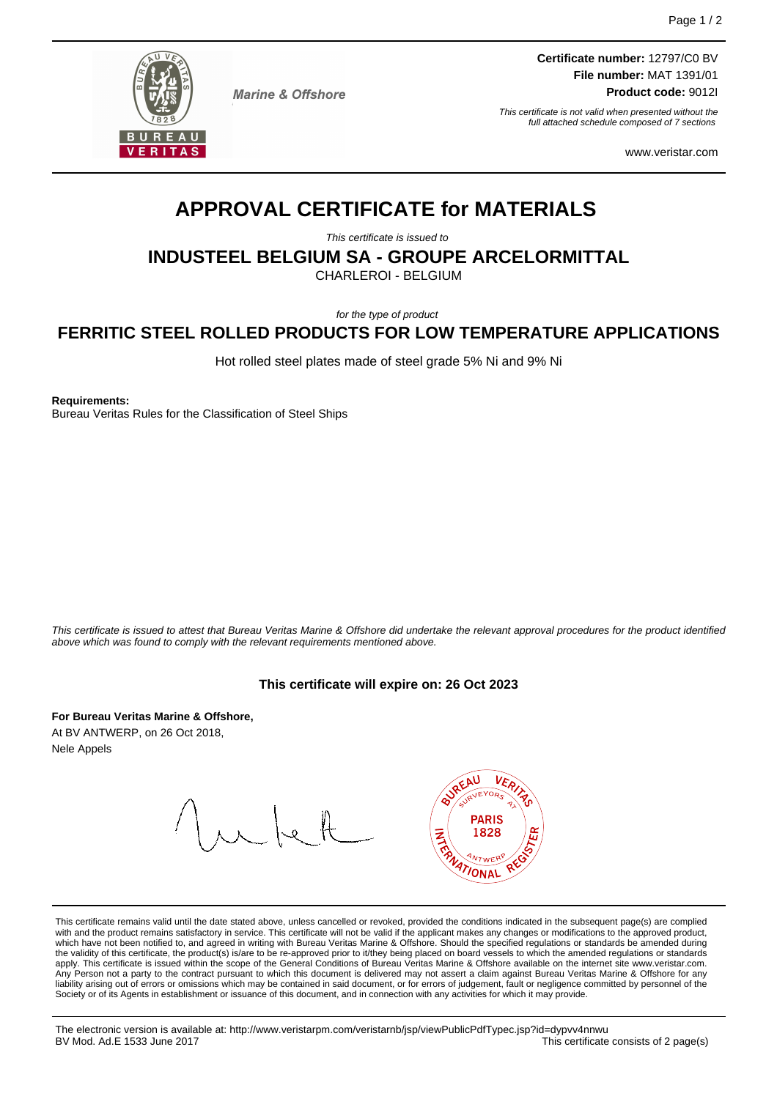

**Marine & Offshore** 

**Certificate number:** 12797/C0 BV **File number:** MAT 1391/01 **Product code:** 9012I

This certificate is not valid when presented without the full attached schedule composed of 7 sections

www.veristar.com

# **APPROVAL CERTIFICATE for MATERIALS**

This certificate is issued to

**INDUSTEEL BELGIUM SA - GROUPE ARCELORMITTAL**

CHARLEROI - BELGIUM

for the type of product

# **FERRITIC STEEL ROLLED PRODUCTS FOR LOW TEMPERATURE APPLICATIONS**

Hot rolled steel plates made of steel grade 5% Ni and 9% Ni

**Requirements:**

Bureau Veritas Rules for the Classification of Steel Ships

This certificate is issued to attest that Bureau Veritas Marine & Offshore did undertake the relevant approval procedures for the product identified above which was found to comply with the relevant requirements mentioned above.

### **This certificate will expire on: 26 Oct 2023**

**For Bureau Veritas Marine & Offshore,** At BV ANTWERP, on 26 Oct 2018, Nele Appels



This certificate remains valid until the date stated above, unless cancelled or revoked, provided the conditions indicated in the subsequent page(s) are complied with and the product remains satisfactory in service. This certificate will not be valid if the applicant makes any changes or modifications to the approved product,<br>which have not been notified to, and agreed in writing w apply. This certificate is issued within the scope of the General Conditions of Bureau Veritas Marine & Offshore available on the internet site www.veristar.com. .<br>Person not a party to the contract pursuant to which this document is delivered may not assert a claim against Bureau Veritas Marine & Offshore for any liability arising out of errors or omissions which may be contained in said document, or for errors of judgement, fault or negligence committed by personnel of the Society or of its Agents in establishment or issuance of this document, and in connection with any activities for which it may provide.